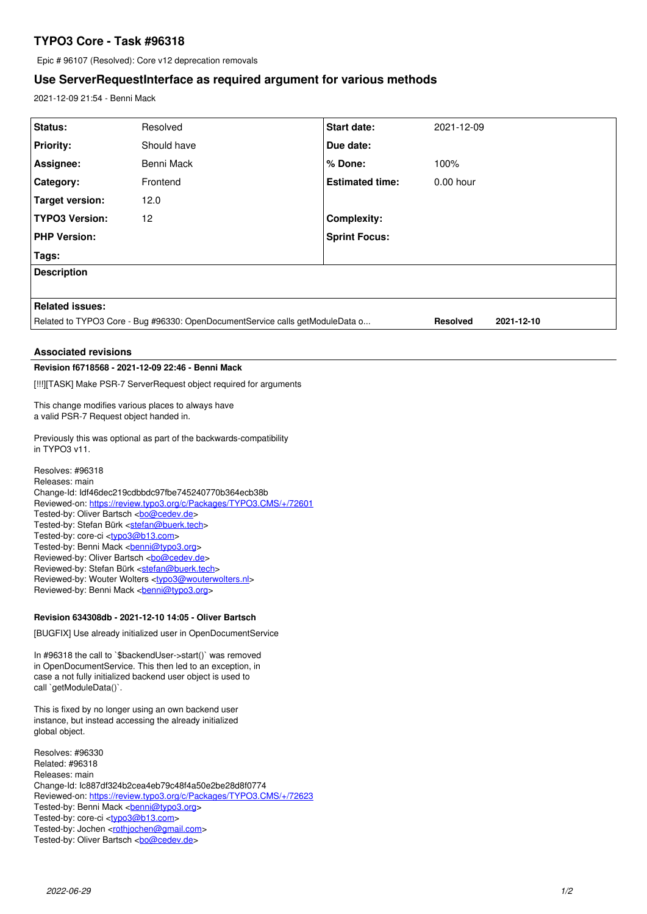# **TYPO3 Core - Task #96318**

Epic # 96107 (Resolved): Core v12 deprecation removals

## **Use ServerRequestInterface as required argument for various methods**

2021-12-09 21:54 - Benni Mack

| Status:                                                                                                                                                                                                                                                                                                                                                                                                                                                                                                                                                                                                                                                                                                                                                                                                                                                                                                                                                                                                           | Resolved    | Start date:            | 2021-12-09 |            |
|-------------------------------------------------------------------------------------------------------------------------------------------------------------------------------------------------------------------------------------------------------------------------------------------------------------------------------------------------------------------------------------------------------------------------------------------------------------------------------------------------------------------------------------------------------------------------------------------------------------------------------------------------------------------------------------------------------------------------------------------------------------------------------------------------------------------------------------------------------------------------------------------------------------------------------------------------------------------------------------------------------------------|-------------|------------------------|------------|------------|
| <b>Priority:</b>                                                                                                                                                                                                                                                                                                                                                                                                                                                                                                                                                                                                                                                                                                                                                                                                                                                                                                                                                                                                  | Should have | Due date:              |            |            |
| Assignee:                                                                                                                                                                                                                                                                                                                                                                                                                                                                                                                                                                                                                                                                                                                                                                                                                                                                                                                                                                                                         | Benni Mack  | % Done:                | 100%       |            |
| Category:                                                                                                                                                                                                                                                                                                                                                                                                                                                                                                                                                                                                                                                                                                                                                                                                                                                                                                                                                                                                         | Frontend    | <b>Estimated time:</b> | 0.00 hour  |            |
| <b>Target version:</b>                                                                                                                                                                                                                                                                                                                                                                                                                                                                                                                                                                                                                                                                                                                                                                                                                                                                                                                                                                                            | 12.0        |                        |            |            |
| <b>TYPO3 Version:</b>                                                                                                                                                                                                                                                                                                                                                                                                                                                                                                                                                                                                                                                                                                                                                                                                                                                                                                                                                                                             | 12          | <b>Complexity:</b>     |            |            |
| <b>PHP Version:</b>                                                                                                                                                                                                                                                                                                                                                                                                                                                                                                                                                                                                                                                                                                                                                                                                                                                                                                                                                                                               |             | <b>Sprint Focus:</b>   |            |            |
| Tags:                                                                                                                                                                                                                                                                                                                                                                                                                                                                                                                                                                                                                                                                                                                                                                                                                                                                                                                                                                                                             |             |                        |            |            |
| <b>Description</b>                                                                                                                                                                                                                                                                                                                                                                                                                                                                                                                                                                                                                                                                                                                                                                                                                                                                                                                                                                                                |             |                        |            |            |
|                                                                                                                                                                                                                                                                                                                                                                                                                                                                                                                                                                                                                                                                                                                                                                                                                                                                                                                                                                                                                   |             |                        |            |            |
| <b>Related issues:</b>                                                                                                                                                                                                                                                                                                                                                                                                                                                                                                                                                                                                                                                                                                                                                                                                                                                                                                                                                                                            |             |                        |            |            |
| Related to TYPO3 Core - Bug #96330: OpenDocumentService calls getModuleData o<br><b>Resolved</b>                                                                                                                                                                                                                                                                                                                                                                                                                                                                                                                                                                                                                                                                                                                                                                                                                                                                                                                  |             |                        |            | 2021-12-10 |
|                                                                                                                                                                                                                                                                                                                                                                                                                                                                                                                                                                                                                                                                                                                                                                                                                                                                                                                                                                                                                   |             |                        |            |            |
| <b>Associated revisions</b>                                                                                                                                                                                                                                                                                                                                                                                                                                                                                                                                                                                                                                                                                                                                                                                                                                                                                                                                                                                       |             |                        |            |            |
| Revision f6718568 - 2021-12-09 22:46 - Benni Mack                                                                                                                                                                                                                                                                                                                                                                                                                                                                                                                                                                                                                                                                                                                                                                                                                                                                                                                                                                 |             |                        |            |            |
| [!!!][TASK] Make PSR-7 ServerRequest object required for arguments                                                                                                                                                                                                                                                                                                                                                                                                                                                                                                                                                                                                                                                                                                                                                                                                                                                                                                                                                |             |                        |            |            |
| This change modifies various places to always have<br>a valid PSR-7 Request object handed in.                                                                                                                                                                                                                                                                                                                                                                                                                                                                                                                                                                                                                                                                                                                                                                                                                                                                                                                     |             |                        |            |            |
| Previously this was optional as part of the backwards-compatibility<br>in TYPO3 v11.                                                                                                                                                                                                                                                                                                                                                                                                                                                                                                                                                                                                                                                                                                                                                                                                                                                                                                                              |             |                        |            |            |
| Resolves: #96318<br>Releases: main<br>Change-Id: Idf46dec219cdbbdc97fbe745240770b364ecb38b<br>Reviewed-on: https://review.typo3.org/c/Packages/TYPO3.CMS/+/72601<br>Tested-by: Oliver Bartsch<br>com<br>Tested-by: Stefan Bürk <stefan@buerk.tech><br/>Tested-by: core-ci <typo3@b13.com><br>Tested-by: Benni Mack <br/> <b>benni@typo3.org&gt;</b><br/>Reviewed-by: Oliver Bartsch <br/> <br> <br/> <br/> <br/> <br/> <br/> &lt;<br/>Bartsch &lt;<br/><br/><math display="inline">\leq</math> <br/><math display="inline">\leq</math> <br/><math display="inline">\leq</math><br/>Reviewed-by: Stefan Bürk <stefan@buerk.tech><br/>Reviewed-by: Wouter Wolters <typo3@wouterwolters.nl><br/>Reviewed-by: Benni Mack <br/> conni<br/> <br/> Leoni<br> Conni<br> Conni<br> Conni<br/> Conni<br/> Conni<br/> Conni<br/> Conni<br/> Conni<br/> Conni<br/> Conni<br/> Conni<br/> Conni<br/> Conni<br/> Conn</br></br></br></typo3@wouterwolters.nl></stefan@buerk.tech></br></br></typo3@b13.com></stefan@buerk.tech> |             |                        |            |            |
| Revision 634308db - 2021-12-10 14:05 - Oliver Bartsch                                                                                                                                                                                                                                                                                                                                                                                                                                                                                                                                                                                                                                                                                                                                                                                                                                                                                                                                                             |             |                        |            |            |
| the contract of the contract of the contract of the contract of the contract of the contract of the contract of                                                                                                                                                                                                                                                                                                                                                                                                                                                                                                                                                                                                                                                                                                                                                                                                                                                                                                   |             |                        |            |            |

[BUGFIX] Use already initialized user in OpenDocumentService

In #96318 the call to `\$backendUser->start()` was removed in OpenDocumentService. This then led to an exception, in case a not fully initialized backend user object is used to call `getModuleData()`.

This is fixed by no longer using an own backend user instance, but instead accessing the already initialized global object.

Resolves: #96330 Related: #96318 Releases: main Change-Id: Ic887df324b2cea4eb79c48f4a50e2be28d8f0774 Reviewed-on:<https://review.typo3.org/c/Packages/TYPO3.CMS/+/72623> Tested-by: Benni Mack <br />
<u>benni@typo3.org</u>> Tested-by: core-ci <<u>typo3@b13.com</u>> Tested-by: Jochen <<u>rothjochen@gmail.com</u>> Tested-by: Oliver Bartsch <br/> <br/><u>bo@cedev.de</u>>